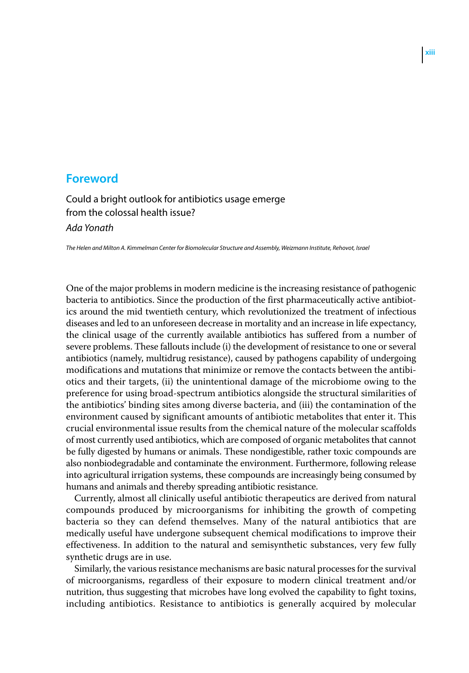## **Foreword**

Could a bright outlook for antibiotics usage emerge from the colossal health issue? *Ada Yonath*

*The Helen and Milton A. Kimmelman Center for Biomolecular Structure and Assembly, Weizmann Institute, Rehovot, Israel*

One of the major problems in modern medicine is the increasing resistance of pathogenic bacteria to antibiotics. Since the production of the first pharmaceutically active antibiotics around the mid twentieth century, which revolutionized the treatment of infectious diseases and led to an unforeseen decrease in mortality and an increase in life expectancy, the clinical usage of the currently available antibiotics has suffered from a number of severe problems. These fallouts include (i) the development of resistance to one or several antibiotics (namely, multidrug resistance), caused by pathogens capability of undergoing modifications and mutations that minimize or remove the contacts between the antibiotics and their targets, (ii) the unintentional damage of the microbiome owing to the preference for using broad‐spectrum antibiotics alongside the structural similarities of the antibiotics' binding sites among diverse bacteria, and (iii) the contamination of the environment caused by significant amounts of antibiotic metabolites that enter it. This crucial environmental issue results from the chemical nature of the molecular scaffolds of most currently used antibiotics, which are composed of organic metabolites that cannot be fully digested by humans or animals. These nondigestible, rather toxic compounds are also nonbiodegradable and contaminate the environment. Furthermore, following release into agricultural irrigation systems, these compounds are increasingly being consumed by humans and animals and thereby spreading antibiotic resistance.

Currently, almost all clinically useful antibiotic therapeutics are derived from natural compounds produced by microorganisms for inhibiting the growth of competing bacteria so they can defend themselves. Many of the natural antibiotics that are medically useful have undergone subsequent chemical modifications to improve their effectiveness. In addition to the natural and semisynthetic substances, very few fully synthetic drugs are in use.

Similarly, the various resistance mechanisms are basic natural processes for the survival of microorganisms, regardless of their exposure to modern clinical treatment and/or nutrition, thus suggesting that microbes have long evolved the capability to fight toxins, including antibiotics. Resistance to antibiotics is generally acquired by molecular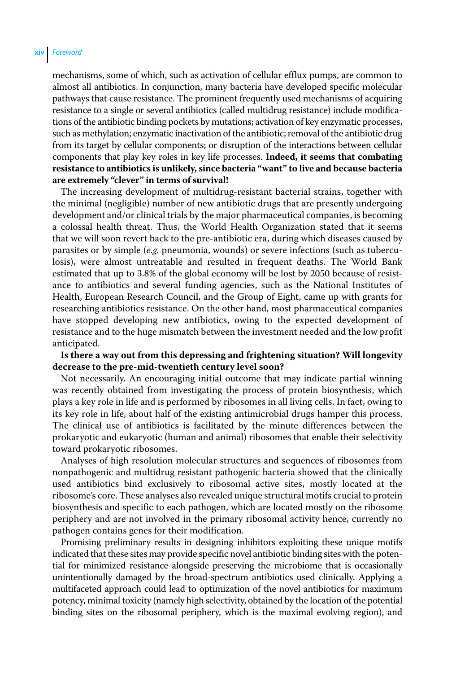mechanisms, some of which, such as activation of cellular efflux pumps, are common to almost all antibiotics. In conjunction, many bacteria have developed specific molecular pathways that cause resistance. The prominent frequently used mechanisms of acquiring resistance to a single or several antibiotics (called multidrug resistance) include modifications of the antibiotic binding pockets by mutations; activation of key enzymatic processes, such as methylation; enzymatic inactivation of the antibiotic; removal of the antibiotic drug from its target by cellular components; or disruption of the interactions between cellular components that play key roles in key life processes. **Indeed, it seems that combating resistance to antibiotics is unlikely, since bacteria "want" to live and because bacteria are extremely "clever" in terms of survival!**

The increasing development of multidrug-resistant bacterial strains, together with the minimal (negligible) number of new antibiotic drugs that are presently undergoing development and/or clinical trials by the major pharmaceutical companies, is becoming a colossal health threat. Thus, the World Health Organization stated that it seems that we will soon revert back to the pre‐antibiotic era, during which diseases caused by parasites or by simple (*e.g.* pneumonia, wounds) or severe infections (such as tuberculosis), were almost untreatable and resulted in frequent deaths. The World Bank estimated that up to 3.8% of the global economy will be lost by 2050 because of resistance to antibiotics and several funding agencies, such as the National Institutes of Health, European Research Council, and the Group of Eight, came up with grants for researching antibiotics resistance. On the other hand, most pharmaceutical companies have stopped developing new antibiotics, owing to the expected development of resistance and to the huge mismatch between the investment needed and the low profit anticipated.

## **Is there a way out from this depressing and frightening situation? Will longevity decrease to the pre‐mid‐twentieth century level soon?**

Not necessarily. An encouraging initial outcome that may indicate partial winning was recently obtained from investigating the process of protein biosynthesis, which plays a key role in life and is performed by ribosomes in all living cells. In fact, owing to its key role in life, about half of the existing antimicrobial drugs hamper this process. The clinical use of antibiotics is facilitated by the minute differences between the prokaryotic and eukaryotic (human and animal) ribosomes that enable their selectivity toward prokaryotic ribosomes.

Analyses of high resolution molecular structures and sequences of ribosomes from nonpathogenic and multidrug resistant pathogenic bacteria showed that the clinically used antibiotics bind exclusively to ribosomal active sites, mostly located at the ribosome's core. These analyses also revealed unique structural motifs crucial to protein biosynthesis and specific to each pathogen, which are located mostly on the ribosome periphery and are not involved in the primary ribosomal activity hence, currently no pathogen contains genes for their modification.

Promising preliminary results in designing inhibitors exploiting these unique motifs indicated that these sites may provide specific novel antibiotic binding sites with the potential for minimized resistance alongside preserving the microbiome that is occasionally unintentionally damaged by the broad‐spectrum antibiotics used clinically. Applying a multifaceted approach could lead to optimization of the novel antibiotics for maximum potency, minimal toxicity (namely high selectivity, obtained by the location of the potential binding sites on the ribosomal periphery, which is the maximal evolving region), and